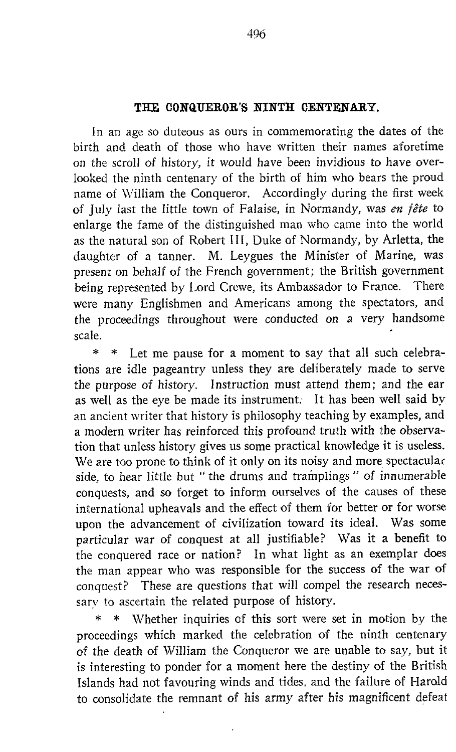## THE CONQUEROR'S NINTH CENTENARY.

In an age so duteous as ours in commemorating the dates of the birth and death of those who have written their names aforetime on the scroll of history, it would have been invidious to have overlooked the ninth centenary of the birth of him who bears the proud name of William the Conqueror. Accordingly during the first week of July last the little town of Falaise, in Normandy, was en fête to enlarge the fame of the distinguished man who came into the world as the natural son of Robert 111, Duke of Normandy, by Arletta, the daughter of <sup>a</sup> tanner. M. Leygues the Minister of Marine, was present on behalf of the French government; the British government being represented by Lord Crewe, its Ambassador to France. There were many Englishmen and Americans among the spectators, and the proceedings throughout were conducted on <sup>a</sup> very handsome scale .

\* \* Let me pause for a moment to say that all such celebrations are idle pageantry unless they are deliberately made to serve the purpose of history. Instruction must attend them; and the ear as well as the eye be made its instrument. It has been well said by an ancient writer that history is philosophy teaching by examples, and a modern writer has reinforced this profound truth with the observation that unless history gives us some practical knowledge it is useless. We are too prone to think of it only on its noisy and more spectacular side, to hear little but " the drums and tramplings" of innumerable conquests, and so forget to inform ourselves of the causes of these international upheavals and the effect of them for better or for worse upon the advancement of civilization toward its ideal. Was some particular war of conquest at all justifiable? Was it <sup>a</sup> benefit to the conquered race or nation? In what light as an exemplar does the man appear who was responsible for the success of the war of conquest? These are questions that will compel the research necessary to ascertain the related purpose of history.

\* \* Whether inquiries of this sort were set in motion by the proceedings which marked the celebration of the ninth centenary of the death of William the Conqueror we are unable to say, but it is interesting to ponder for a moment here the destiny of the British Islands had not favouring winds and tides, and the failure of Harold to consolidate the remnant of his army after his magnificent defeat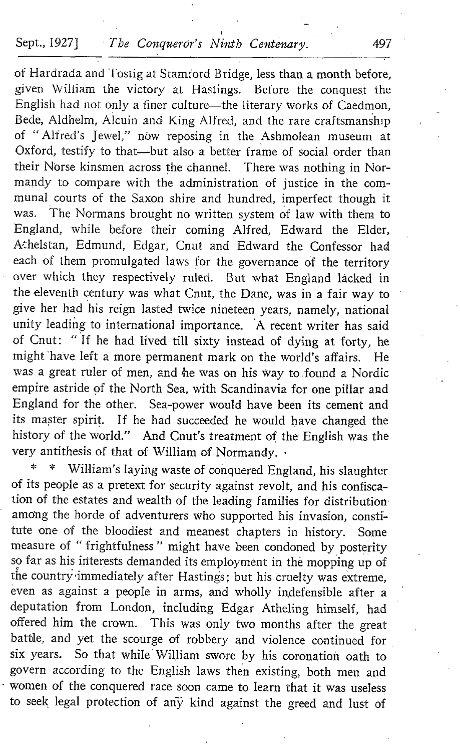## Sept., 1927] The Conqueror's Ninth Centenary. 497

of Hardrada and Tostig at Stamiord Bridge, less than a month before, given William the victory at Hastings. Before the conquest the English had not only a finer culture-the literary works of Caedmon, Bede, Aldhelm, Alcuin and King Alfred, and the rare craftsmanship of "Alfred's jewel," now reposing in the Ashmolean museum at Oxford, testify to that--but also a better frame of social order than their Norse kinsmen across the channel. There was nothing in Normandy to compare with the administration of justice in the communal courts of the Saxon shire and hundred, imperfect though it was. The Normans brought no written system of law with them to England, while before their coming Alfred, Edward the Elder, A:helstan, Edmund, Edgar, Cnut and Edward the Confessor had each of them promulgated laws for the governance of the territory over which they respectively ruled. But what England lâcked in the eleventh century was what Cnut, the Dane, was in <sup>a</sup> fair way to give her had his reign lasted twice nineteen years, namely, national unity leading to international importance. 'A recent writer has said of Cnut: "If he had lived till sixty instead of dying at forty, he might have left a more permanent mark on the world's affairs. He was a great ruler of men, and he was on his way to found a Nordic empire astride of the North Sea, with Scandinavia for one pillar and England for the other. Sea-power would have been its cement and its master spirit. If he had succeeded he would have changed the history of the world." And Cnut's treatment of the English was the very antithesis of that of William of Normandy.

William's laying waste of conquered England, his slaughter of its people as <sup>a</sup> pretext for security against revolt, and his confiscation of the estates and wealth of the leading families for distribution among the horde of adventurers who supported his invasion, constitute one of the bloodiest and meanest chapters in history. Some measure of " frightfulness " might have been condoned by posterity so far as his interests demanded its employment in the mopping up of the country immediately after Hastings; but his cruelty was extreme, even as against <sup>a</sup> people in arms, and wholly indefensible after <sup>a</sup> deputation from London, including Edgar Atheling himself, had offered him the crown. This was only two months after the great battle, and yet the scourge of robbery and violence . continued for six years. So that while' William swore by his coronation oath to govern according to the English laws then existing, both men and women of the conquered race soon came to learn that it was useless to seek legal protection of ariy kind against the greed and lust of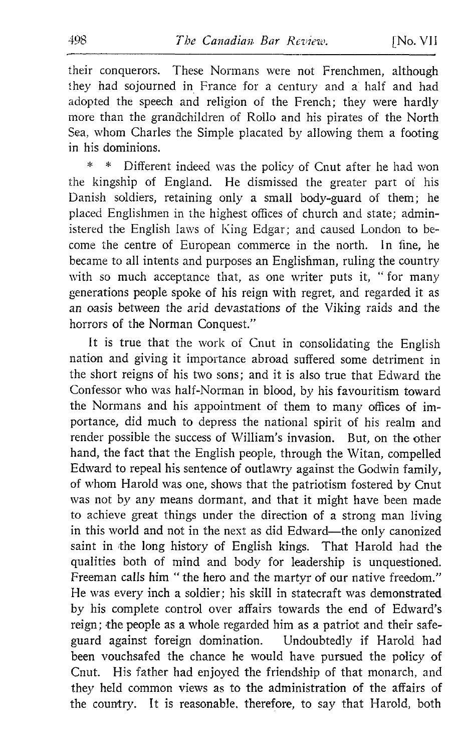their conquerors. These Normans were not Frenchmen, although they had sojourned in France for a century and a half and had adopted the speech and religion of the French; they were hardly more than the grandchildren of Rollo and his pirates of the North Sea, whom Charles the Simple placated by allowing them a footing in his dominions.

Different indeed was the policy of Cnut after he had won the kingship of England. He dismissed the greater part of his Danish soldiers, retaining only a small body-guard of them; he placed Englishmen in the highest offices of church and state; administered the English laws of King Edgar; and caused London to become the centre of European commerce in the north. In fine, he became to all intents and purposes an Englishman, ruling the country with so much acceptance that, as one writer puts it, "for many generations people spoke of his reign with regret, and regarded it as an oasis between the arid devastations of the Viking raids and the horrors of the Norman Conquest."

It is true that the work of Cnut in consolidating the English nation and giving it importance abroad suffered some detriment in the short reigns of his two sons; and it is also true that Edward the Confessor who was half-Norman in blood, by his favouritism toward the Normans and his appointment of them to many offices of importance, did much to depress the national spirit of his realm and render possible the success of William's invasion. But, on the other hand, the fact that the English people, through the Witan, compelled Edward to repeal his sentence of outlawry against the Godwin family, of whom Harold was one, shows that the patriotism fostered by Cnut was not by any means dormant, and that it might have been made to achieve great things under the direction of <sup>a</sup> strong man living in this world and not in the next as did Edward-the only canonized saint in the long history of English kings. That Harold had the qualities both of mind and body for leadership is unquestioned. Freeman calls him " the hero and the martyr of our native freedom." He was every inch a soldier; his skill in statecraft was demonstrated by his complete control over affairs towards the end of Edward's reign; the people as a whole regarded him as a patriot and their safe-<br>guard against foreign domination. Undoubtedly if Harold had guard against foreign domination. been vouchsafed the chance he would have pursued the policy of Cnut. His father had enjoyed the friendship of that monarch, and they held common views as to the administration of the affairs of the country. It is reasonable, therefore, to say that Harold, both